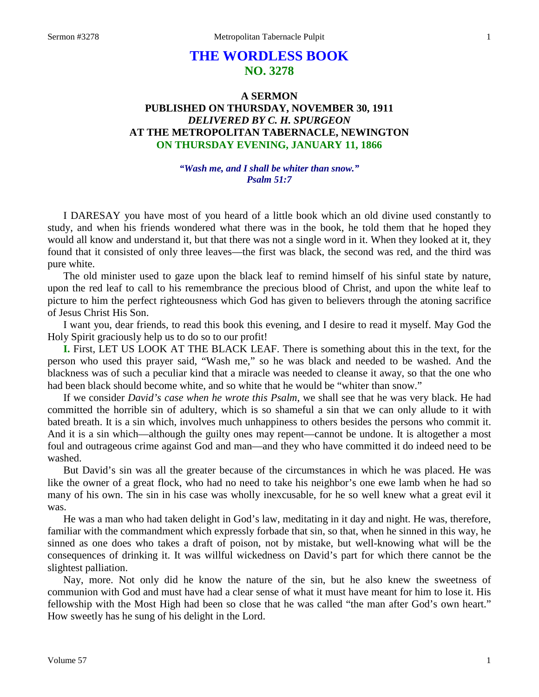# **THE WORDLESS BOOK NO. 3278**

## **A SERMON PUBLISHED ON THURSDAY, NOVEMBER 30, 1911** *DELIVERED BY C. H. SPURGEON* **AT THE METROPOLITAN TABERNACLE, NEWINGTON ON THURSDAY EVENING, JANUARY 11, 1866**

### *"Wash me, and I shall be whiter than snow." Psalm 51:7*

I DARESAY you have most of you heard of a little book which an old divine used constantly to study, and when his friends wondered what there was in the book, he told them that he hoped they would all know and understand it, but that there was not a single word in it. When they looked at it, they found that it consisted of only three leaves—the first was black, the second was red, and the third was pure white.

The old minister used to gaze upon the black leaf to remind himself of his sinful state by nature, upon the red leaf to call to his remembrance the precious blood of Christ, and upon the white leaf to picture to him the perfect righteousness which God has given to believers through the atoning sacrifice of Jesus Christ His Son.

I want you, dear friends, to read this book this evening, and I desire to read it myself. May God the Holy Spirit graciously help us to do so to our profit!

**I.** First, LET US LOOK AT THE BLACK LEAF. There is something about this in the text, for the person who used this prayer said, "Wash me," so he was black and needed to be washed. And the blackness was of such a peculiar kind that a miracle was needed to cleanse it away, so that the one who had been black should become white, and so white that he would be "whiter than snow."

If we consider *David's case when he wrote this Psalm*, we shall see that he was very black. He had committed the horrible sin of adultery, which is so shameful a sin that we can only allude to it with bated breath. It is a sin which, involves much unhappiness to others besides the persons who commit it. And it is a sin which—although the guilty ones may repent—cannot be undone. It is altogether a most foul and outrageous crime against God and man—and they who have committed it do indeed need to be washed.

But David's sin was all the greater because of the circumstances in which he was placed. He was like the owner of a great flock, who had no need to take his neighbor's one ewe lamb when he had so many of his own. The sin in his case was wholly inexcusable, for he so well knew what a great evil it was.

He was a man who had taken delight in God's law, meditating in it day and night. He was, therefore, familiar with the commandment which expressly forbade that sin, so that, when he sinned in this way, he sinned as one does who takes a draft of poison, not by mistake, but well-knowing what will be the consequences of drinking it. It was willful wickedness on David's part for which there cannot be the slightest palliation.

Nay, more. Not only did he know the nature of the sin, but he also knew the sweetness of communion with God and must have had a clear sense of what it must have meant for him to lose it. His fellowship with the Most High had been so close that he was called "the man after God's own heart." How sweetly has he sung of his delight in the Lord.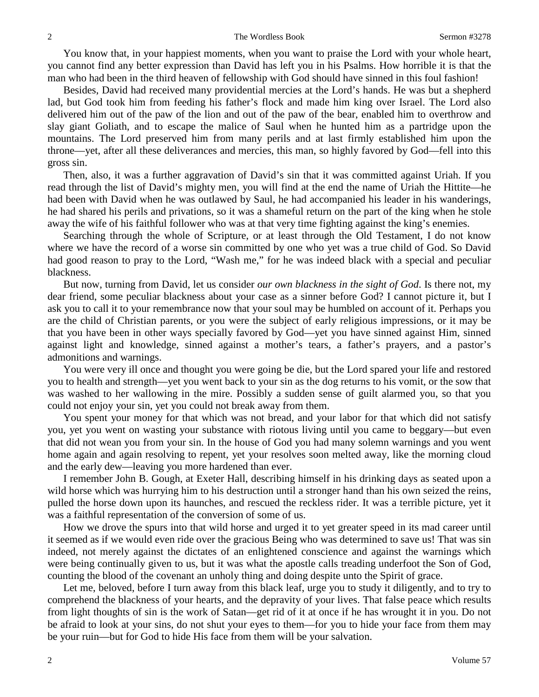You know that, in your happiest moments, when you want to praise the Lord with your whole heart, you cannot find any better expression than David has left you in his Psalms. How horrible it is that the man who had been in the third heaven of fellowship with God should have sinned in this foul fashion!

Besides, David had received many providential mercies at the Lord's hands. He was but a shepherd lad, but God took him from feeding his father's flock and made him king over Israel. The Lord also delivered him out of the paw of the lion and out of the paw of the bear, enabled him to overthrow and slay giant Goliath, and to escape the malice of Saul when he hunted him as a partridge upon the mountains. The Lord preserved him from many perils and at last firmly established him upon the throne—yet, after all these deliverances and mercies, this man, so highly favored by God—fell into this gross sin.

Then, also, it was a further aggravation of David's sin that it was committed against Uriah. If you read through the list of David's mighty men, you will find at the end the name of Uriah the Hittite—he had been with David when he was outlawed by Saul, he had accompanied his leader in his wanderings, he had shared his perils and privations, so it was a shameful return on the part of the king when he stole away the wife of his faithful follower who was at that very time fighting against the king's enemies.

Searching through the whole of Scripture, or at least through the Old Testament, I do not know where we have the record of a worse sin committed by one who yet was a true child of God. So David had good reason to pray to the Lord, "Wash me," for he was indeed black with a special and peculiar blackness.

But now, turning from David, let us consider *our own blackness in the sight of God*. Is there not, my dear friend, some peculiar blackness about your case as a sinner before God? I cannot picture it, but I ask you to call it to your remembrance now that your soul may be humbled on account of it. Perhaps you are the child of Christian parents, or you were the subject of early religious impressions, or it may be that you have been in other ways specially favored by God—yet you have sinned against Him, sinned against light and knowledge, sinned against a mother's tears, a father's prayers, and a pastor's admonitions and warnings.

You were very ill once and thought you were going be die, but the Lord spared your life and restored you to health and strength—yet you went back to your sin as the dog returns to his vomit, or the sow that was washed to her wallowing in the mire. Possibly a sudden sense of guilt alarmed you, so that you could not enjoy your sin, yet you could not break away from them.

You spent your money for that which was not bread, and your labor for that which did not satisfy you, yet you went on wasting your substance with riotous living until you came to beggary—but even that did not wean you from your sin. In the house of God you had many solemn warnings and you went home again and again resolving to repent, yet your resolves soon melted away, like the morning cloud and the early dew—leaving you more hardened than ever.

I remember John B. Gough, at Exeter Hall, describing himself in his drinking days as seated upon a wild horse which was hurrying him to his destruction until a stronger hand than his own seized the reins, pulled the horse down upon its haunches, and rescued the reckless rider. It was a terrible picture, yet it was a faithful representation of the conversion of some of us.

How we drove the spurs into that wild horse and urged it to yet greater speed in its mad career until it seemed as if we would even ride over the gracious Being who was determined to save us! That was sin indeed, not merely against the dictates of an enlightened conscience and against the warnings which were being continually given to us, but it was what the apostle calls treading underfoot the Son of God, counting the blood of the covenant an unholy thing and doing despite unto the Spirit of grace.

Let me, beloved, before I turn away from this black leaf, urge you to study it diligently, and to try to comprehend the blackness of your hearts, and the depravity of your lives. That false peace which results from light thoughts of sin is the work of Satan—get rid of it at once if he has wrought it in you. Do not be afraid to look at your sins, do not shut your eyes to them—for you to hide your face from them may be your ruin—but for God to hide His face from them will be your salvation.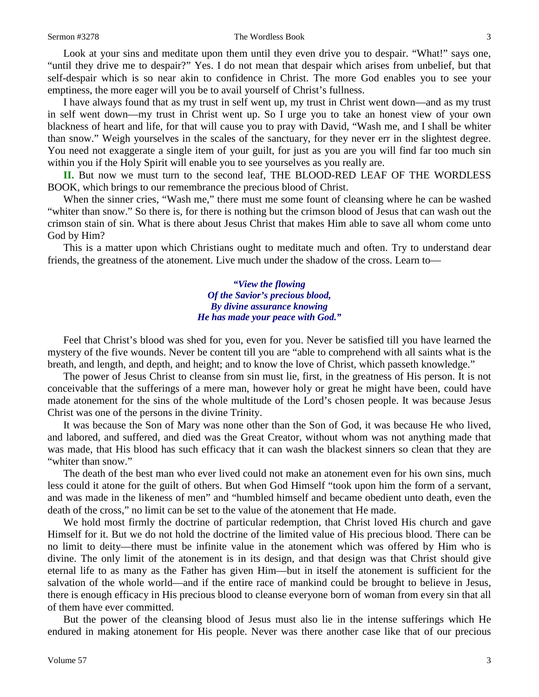#### Sermon #3278 The Wordless Book 3

Look at your sins and meditate upon them until they even drive you to despair. "What!" says one, "until they drive me to despair?" Yes. I do not mean that despair which arises from unbelief, but that self-despair which is so near akin to confidence in Christ. The more God enables you to see your emptiness, the more eager will you be to avail yourself of Christ's fullness.

I have always found that as my trust in self went up, my trust in Christ went down—and as my trust in self went down—my trust in Christ went up. So I urge you to take an honest view of your own blackness of heart and life, for that will cause you to pray with David, "Wash me, and I shall be whiter than snow." Weigh yourselves in the scales of the sanctuary, for they never err in the slightest degree. You need not exaggerate a single item of your guilt, for just as you are you will find far too much sin within you if the Holy Spirit will enable you to see yourselves as you really are.

**II.** But now we must turn to the second leaf, THE BLOOD-RED LEAF OF THE WORDLESS BOOK, which brings to our remembrance the precious blood of Christ.

When the sinner cries, "Wash me," there must me some fount of cleansing where he can be washed "whiter than snow." So there is, for there is nothing but the crimson blood of Jesus that can wash out the crimson stain of sin. What is there about Jesus Christ that makes Him able to save all whom come unto God by Him?

This is a matter upon which Christians ought to meditate much and often. Try to understand dear friends, the greatness of the atonement. Live much under the shadow of the cross. Learn to—

> *"View the flowing Of the Savior's precious blood, By divine assurance knowing He has made your peace with God."*

Feel that Christ's blood was shed for you, even for you. Never be satisfied till you have learned the mystery of the five wounds. Never be content till you are "able to comprehend with all saints what is the breath, and length, and depth, and height; and to know the love of Christ, which passeth knowledge."

The power of Jesus Christ to cleanse from sin must lie, first, in the greatness of His person. It is not conceivable that the sufferings of a mere man, however holy or great he might have been, could have made atonement for the sins of the whole multitude of the Lord's chosen people. It was because Jesus Christ was one of the persons in the divine Trinity.

It was because the Son of Mary was none other than the Son of God, it was because He who lived, and labored, and suffered, and died was the Great Creator, without whom was not anything made that was made, that His blood has such efficacy that it can wash the blackest sinners so clean that they are "whiter than snow."

The death of the best man who ever lived could not make an atonement even for his own sins, much less could it atone for the guilt of others. But when God Himself "took upon him the form of a servant, and was made in the likeness of men" and "humbled himself and became obedient unto death, even the death of the cross," no limit can be set to the value of the atonement that He made.

We hold most firmly the doctrine of particular redemption, that Christ loved His church and gave Himself for it. But we do not hold the doctrine of the limited value of His precious blood. There can be no limit to deity—there must be infinite value in the atonement which was offered by Him who is divine. The only limit of the atonement is in its design, and that design was that Christ should give eternal life to as many as the Father has given Him—but in itself the atonement is sufficient for the salvation of the whole world—and if the entire race of mankind could be brought to believe in Jesus, there is enough efficacy in His precious blood to cleanse everyone born of woman from every sin that all of them have ever committed.

But the power of the cleansing blood of Jesus must also lie in the intense sufferings which He endured in making atonement for His people. Never was there another case like that of our precious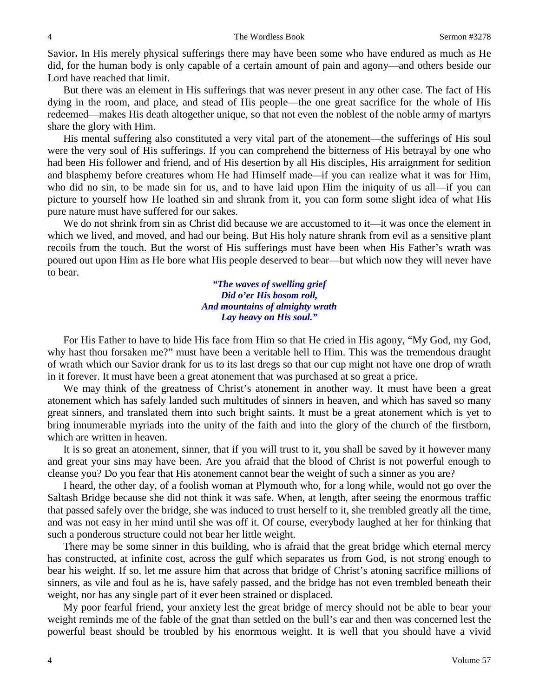Savior**.** In His merely physical sufferings there may have been some who have endured as much as He did, for the human body is only capable of a certain amount of pain and agony—and others beside our Lord have reached that limit.

But there was an element in His sufferings that was never present in any other case. The fact of His dying in the room, and place, and stead of His people—the one great sacrifice for the whole of His redeemed—makes His death altogether unique, so that not even the noblest of the noble army of martyrs share the glory with Him.

His mental suffering also constituted a very vital part of the atonement—the sufferings of His soul were the very soul of His sufferings. If you can comprehend the bitterness of His betrayal by one who had been His follower and friend, and of His desertion by all His disciples, His arraignment for sedition and blasphemy before creatures whom He had Himself made*—*if you can realize what it was for Him, who did no sin, to be made sin for us, and to have laid upon Him the iniquity of us all—if you can picture to yourself how He loathed sin and shrank from it, you can form some slight idea of what His pure nature must have suffered for our sakes.

We do not shrink from sin as Christ did because we are accustomed to it—it was once the element in which we lived, and moved, and had our being. But His holy nature shrank from evil as a sensitive plant recoils from the touch. But the worst of His sufferings must have been when His Father's wrath was poured out upon Him as He bore what His people deserved to bear—but which now they will never have to bear.

> *"The waves of swelling grief Did o'er His bosom roll, And mountains of almighty wrath Lay heavy on His soul."*

For His Father to have to hide His face from Him so that He cried in His agony, "My God, my God, why hast thou forsaken me?" must have been a veritable hell to Him. This was the tremendous draught of wrath which our Savior drank for us to its last dregs so that our cup might not have one drop of wrath in it forever. It must have been a great atonement that was purchased at so great a price.

We may think of the greatness of Christ's atonement in another way. It must have been a great atonement which has safely landed such multitudes of sinners in heaven, and which has saved so many great sinners, and translated them into such bright saints. It must be a great atonement which is yet to bring innumerable myriads into the unity of the faith and into the glory of the church of the firstborn, which are written in heaven.

It is so great an atonement, sinner, that if you will trust to it, you shall be saved by it however many and great your sins may have been. Are you afraid that the blood of Christ is not powerful enough to cleanse you? Do you fear that His atonement cannot bear the weight of such a sinner as you are?

I heard, the other day, of a foolish woman at Plymouth who, for a long while, would not go over the Saltash Bridge because she did not think it was safe. When, at length, after seeing the enormous traffic that passed safely over the bridge, she was induced to trust herself to it, she trembled greatly all the time, and was not easy in her mind until she was off it. Of course, everybody laughed at her for thinking that such a ponderous structure could not bear her little weight.

There may be some sinner in this building, who is afraid that the great bridge which eternal mercy has constructed, at infinite cost, across the gulf which separates us from God, is not strong enough to bear his weight. If so, let me assure him that across that bridge of Christ's atoning sacrifice millions of sinners, as vile and foul as he is, have safely passed, and the bridge has not even trembled beneath their weight, nor has any single part of it ever been strained or displaced.

My poor fearful friend, your anxiety lest the great bridge of mercy should not be able to bear your weight reminds me of the fable of the gnat than settled on the bull's ear and then was concerned lest the powerful beast should be troubled by his enormous weight. It is well that you should have a vivid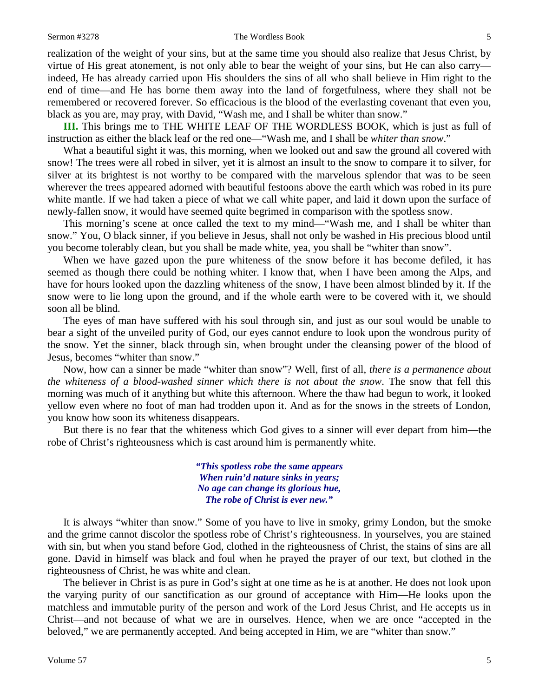realization of the weight of your sins, but at the same time you should also realize that Jesus Christ, by virtue of His great atonement, is not only able to bear the weight of your sins, but He can also carry indeed, He has already carried upon His shoulders the sins of all who shall believe in Him right to the end of time—and He has borne them away into the land of forgetfulness, where they shall not be remembered or recovered forever. So efficacious is the blood of the everlasting covenant that even you, black as you are, may pray, with David, "Wash me, and I shall be whiter than snow."

**III.** This brings me to THE WHITE LEAF OF THE WORDLESS BOOK, which is just as full of instruction as either the black leaf or the red one—"Wash me, and I shall be *whiter than snow*."

What a beautiful sight it was, this morning, when we looked out and saw the ground all covered with snow! The trees were all robed in silver, yet it is almost an insult to the snow to compare it to silver, for silver at its brightest is not worthy to be compared with the marvelous splendor that was to be seen wherever the trees appeared adorned with beautiful festoons above the earth which was robed in its pure white mantle. If we had taken a piece of what we call white paper, and laid it down upon the surface of newly-fallen snow, it would have seemed quite begrimed in comparison with the spotless snow.

This morning's scene at once called the text to my mind—"Wash me, and I shall be whiter than snow." You, O black sinner, if you believe in Jesus, shall not only be washed in His precious blood until you become tolerably clean, but you shall be made white, yea, you shall be "whiter than snow".

When we have gazed upon the pure whiteness of the snow before it has become defiled, it has seemed as though there could be nothing whiter. I know that, when I have been among the Alps, and have for hours looked upon the dazzling whiteness of the snow, I have been almost blinded by it. If the snow were to lie long upon the ground, and if the whole earth were to be covered with it, we should soon all be blind.

The eyes of man have suffered with his soul through sin, and just as our soul would be unable to bear a sight of the unveiled purity of God, our eyes cannot endure to look upon the wondrous purity of the snow. Yet the sinner, black through sin, when brought under the cleansing power of the blood of Jesus, becomes "whiter than snow."

Now, how can a sinner be made "whiter than snow"? Well, first of all, *there is a permanence about the whiteness of a blood-washed sinner which there is not about the snow*. The snow that fell this morning was much of it anything but white this afternoon. Where the thaw had begun to work, it looked yellow even where no foot of man had trodden upon it. And as for the snows in the streets of London, you know how soon its whiteness disappears.

But there is no fear that the whiteness which God gives to a sinner will ever depart from him—the robe of Christ's righteousness which is cast around him is permanently white.

> *"This spotless robe the same appears When ruin'd nature sinks in years; No age can change its glorious hue, The robe of Christ is ever new."*

It is always "whiter than snow." Some of you have to live in smoky, grimy London, but the smoke and the grime cannot discolor the spotless robe of Christ's righteousness. In yourselves, you are stained with sin, but when you stand before God, clothed in the righteousness of Christ, the stains of sins are all gone. David in himself was black and foul when he prayed the prayer of our text, but clothed in the righteousness of Christ, he was white and clean.

The believer in Christ is as pure in God's sight at one time as he is at another. He does not look upon the varying purity of our sanctification as our ground of acceptance with Him—He looks upon the matchless and immutable purity of the person and work of the Lord Jesus Christ, and He accepts us in Christ—and not because of what we are in ourselves. Hence, when we are once "accepted in the beloved," we are permanently accepted. And being accepted in Him, we are "whiter than snow."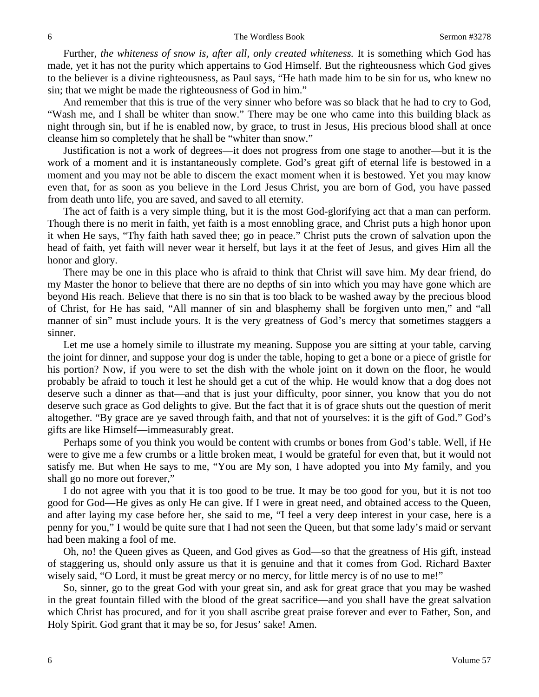Further, *the whiteness of snow is, after all, only created whiteness.* It is something which God has made, yet it has not the purity which appertains to God Himself. But the righteousness which God gives to the believer is a divine righteousness, as Paul says, "He hath made him to be sin for us, who knew no sin; that we might be made the righteousness of God in him."

And remember that this is true of the very sinner who before was so black that he had to cry to God, "Wash me, and I shall be whiter than snow." There may be one who came into this building black as night through sin, but if he is enabled now, by grace, to trust in Jesus, His precious blood shall at once cleanse him so completely that he shall be "whiter than snow."

Justification is not a work of degrees—it does not progress from one stage to another—but it is the work of a moment and it is instantaneously complete. God's great gift of eternal life is bestowed in a moment and you may not be able to discern the exact moment when it is bestowed. Yet you may know even that, for as soon as you believe in the Lord Jesus Christ, you are born of God, you have passed from death unto life, you are saved, and saved to all eternity.

The act of faith is a very simple thing, but it is the most God-glorifying act that a man can perform. Though there is no merit in faith, yet faith is a most ennobling grace, and Christ puts a high honor upon it when He says, "Thy faith hath saved thee; go in peace." Christ puts the crown of salvation upon the head of faith, yet faith will never wear it herself, but lays it at the feet of Jesus, and gives Him all the honor and glory.

There may be one in this place who is afraid to think that Christ will save him. My dear friend, do my Master the honor to believe that there are no depths of sin into which you may have gone which are beyond His reach. Believe that there is no sin that is too black to be washed away by the precious blood of Christ, for He has said, "All manner of sin and blasphemy shall be forgiven unto men," and "all manner of sin" must include yours. It is the very greatness of God's mercy that sometimes staggers a sinner.

Let me use a homely simile to illustrate my meaning. Suppose you are sitting at your table, carving the joint for dinner, and suppose your dog is under the table, hoping to get a bone or a piece of gristle for his portion? Now, if you were to set the dish with the whole joint on it down on the floor, he would probably be afraid to touch it lest he should get a cut of the whip. He would know that a dog does not deserve such a dinner as that—and that is just your difficulty, poor sinner, you know that you do not deserve such grace as God delights to give. But the fact that it is of grace shuts out the question of merit altogether. "By grace are ye saved through faith, and that not of yourselves: it is the gift of God." God's gifts are like Himself—immeasurably great.

Perhaps some of you think you would be content with crumbs or bones from God's table. Well, if He were to give me a few crumbs or a little broken meat, I would be grateful for even that, but it would not satisfy me. But when He says to me, "You are My son, I have adopted you into My family, and you shall go no more out forever,"

I do not agree with you that it is too good to be true. It may be too good for you, but it is not too good for God—He gives as only He can give. If I were in great need, and obtained access to the Queen, and after laying my case before her, she said to me, "I feel a very deep interest in your case, here is a penny for you," I would be quite sure that I had not seen the Queen, but that some lady's maid or servant had been making a fool of me.

Oh, no! the Queen gives as Queen, and God gives as God—so that the greatness of His gift, instead of staggering us, should only assure us that it is genuine and that it comes from God. Richard Baxter wisely said, "O Lord, it must be great mercy or no mercy, for little mercy is of no use to me!"

So, sinner, go to the great God with your great sin, and ask for great grace that you may be washed in the great fountain filled with the blood of the great sacrifice—and you shall have the great salvation which Christ has procured, and for it you shall ascribe great praise forever and ever to Father, Son, and Holy Spirit. God grant that it may be so, for Jesus' sake! Amen.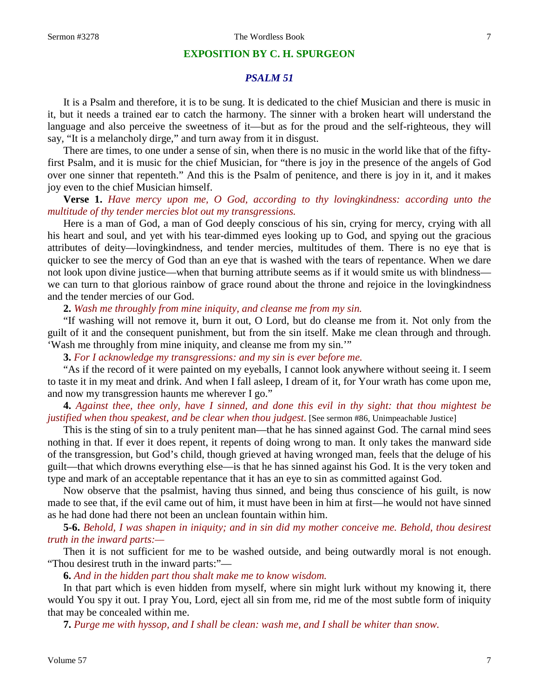#### **EXPOSITION BY C. H. SPURGEON**

## *PSALM 51*

It is a Psalm and therefore, it is to be sung. It is dedicated to the chief Musician and there is music in it, but it needs a trained ear to catch the harmony. The sinner with a broken heart will understand the language and also perceive the sweetness of it—but as for the proud and the self-righteous, they will say, "It is a melancholy dirge," and turn away from it in disgust.

There are times, to one under a sense of sin, when there is no music in the world like that of the fiftyfirst Psalm, and it is music for the chief Musician, for "there is joy in the presence of the angels of God over one sinner that repenteth." And this is the Psalm of penitence, and there is joy in it, and it makes joy even to the chief Musician himself.

**Verse 1.** *Have mercy upon me, O God, according to thy lovingkindness: according unto the multitude of thy tender mercies blot out my transgressions.* 

Here is a man of God, a man of God deeply conscious of his sin, crying for mercy, crying with all his heart and soul, and yet with his tear-dimmed eyes looking up to God, and spying out the gracious attributes of deity—lovingkindness, and tender mercies, multitudes of them. There is no eye that is quicker to see the mercy of God than an eye that is washed with the tears of repentance. When we dare not look upon divine justice—when that burning attribute seems as if it would smite us with blindness we can turn to that glorious rainbow of grace round about the throne and rejoice in the lovingkindness and the tender mercies of our God.

**2.** *Wash me throughly from mine iniquity, and cleanse me from my sin.* 

"If washing will not remove it, burn it out, O Lord, but do cleanse me from it. Not only from the guilt of it and the consequent punishment, but from the sin itself. Make me clean through and through. 'Wash me throughly from mine iniquity, and cleanse me from my sin.'"

**3.** *For I acknowledge my transgressions: and my sin is ever before me.* 

"As if the record of it were painted on my eyeballs, I cannot look anywhere without seeing it. I seem to taste it in my meat and drink. And when I fall asleep, I dream of it, for Your wrath has come upon me, and now my transgression haunts me wherever I go."

**4.** *Against thee, thee only, have I sinned, and done this evil in thy sight: that thou mightest be justified when thou speakest, and be clear when thou judgest.* [See sermon #86, Unimpeachable Justice]

This is the sting of sin to a truly penitent man—that he has sinned against God. The carnal mind sees nothing in that. If ever it does repent, it repents of doing wrong to man. It only takes the manward side of the transgression, but God's child, though grieved at having wronged man, feels that the deluge of his guilt—that which drowns everything else—is that he has sinned against his God. It is the very token and type and mark of an acceptable repentance that it has an eye to sin as committed against God.

Now observe that the psalmist, having thus sinned, and being thus conscience of his guilt, is now made to see that, if the evil came out of him, it must have been in him at first—he would not have sinned as he had done had there not been an unclean fountain within him.

**5-6.** *Behold, I was shapen in iniquity; and in sin did my mother conceive me. Behold, thou desirest truth in the inward parts:—*

Then it is not sufficient for me to be washed outside, and being outwardly moral is not enough. "Thou desirest truth in the inward parts:"—

**6.** *And in the hidden part thou shalt make me to know wisdom.* 

In that part which is even hidden from myself, where sin might lurk without my knowing it, there would You spy it out. I pray You, Lord, eject all sin from me, rid me of the most subtle form of iniquity that may be concealed within me.

**7.** *Purge me with hyssop, and I shall be clean: wash me, and I shall be whiter than snow.*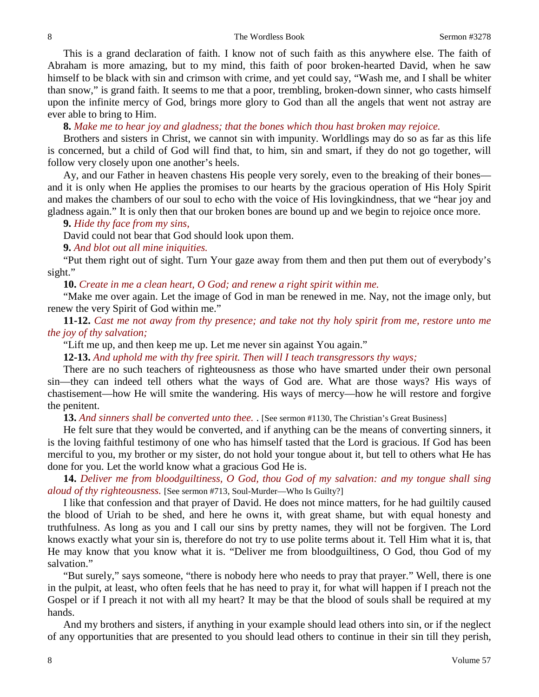This is a grand declaration of faith. I know not of such faith as this anywhere else. The faith of Abraham is more amazing, but to my mind, this faith of poor broken-hearted David, when he saw himself to be black with sin and crimson with crime, and yet could say, "Wash me, and I shall be whiter than snow," is grand faith. It seems to me that a poor, trembling, broken-down sinner, who casts himself upon the infinite mercy of God, brings more glory to God than all the angels that went not astray are ever able to bring to Him.

#### **8.** *Make me to hear joy and gladness; that the bones which thou hast broken may rejoice.*

Brothers and sisters in Christ, we cannot sin with impunity. Worldlings may do so as far as this life is concerned, but a child of God will find that, to him, sin and smart, if they do not go together, will follow very closely upon one another's heels.

Ay, and our Father in heaven chastens His people very sorely, even to the breaking of their bones and it is only when He applies the promises to our hearts by the gracious operation of His Holy Spirit and makes the chambers of our soul to echo with the voice of His lovingkindness, that we "hear joy and gladness again." It is only then that our broken bones are bound up and we begin to rejoice once more.

### **9.** *Hide thy face from my sins,*

David could not bear that God should look upon them.

### **9.** *And blot out all mine iniquities.*

"Put them right out of sight. Turn Your gaze away from them and then put them out of everybody's sight."

**10.** *Create in me a clean heart, O God; and renew a right spirit within me.* 

"Make me over again. Let the image of God in man be renewed in me. Nay, not the image only, but renew the very Spirit of God within me."

**11-12.** *Cast me not away from thy presence; and take not thy holy spirit from me, restore unto me the joy of thy salvation;*

"Lift me up, and then keep me up. Let me never sin against You again."

**12-13.** *And uphold me with thy free spirit. Then will I teach transgressors thy ways;*

There are no such teachers of righteousness as those who have smarted under their own personal sin—they can indeed tell others what the ways of God are. What are those ways? His ways of chastisement—how He will smite the wandering. His ways of mercy—how he will restore and forgive the penitent.

**13.** *And sinners shall be converted unto thee.* . [See sermon #1130, The Christian's Great Business]

He felt sure that they would be converted, and if anything can be the means of converting sinners, it is the loving faithful testimony of one who has himself tasted that the Lord is gracious. If God has been merciful to you, my brother or my sister, do not hold your tongue about it, but tell to others what He has done for you. Let the world know what a gracious God He is.

**14.** *Deliver me from bloodguiltiness, O God, thou God of my salvation: and my tongue shall sing aloud of thy righteousness.* [See sermon #713, Soul-Murder—Who Is Guilty?]

I like that confession and that prayer of David. He does not mince matters, for he had guiltily caused the blood of Uriah to be shed, and here he owns it, with great shame, but with equal honesty and truthfulness. As long as you and I call our sins by pretty names, they will not be forgiven. The Lord knows exactly what your sin is, therefore do not try to use polite terms about it. Tell Him what it is, that He may know that you know what it is. "Deliver me from bloodguiltiness, O God, thou God of my salvation."

"But surely," says someone, "there is nobody here who needs to pray that prayer." Well, there is one in the pulpit, at least, who often feels that he has need to pray it, for what will happen if I preach not the Gospel or if I preach it not with all my heart? It may be that the blood of souls shall be required at my hands.

And my brothers and sisters, if anything in your example should lead others into sin, or if the neglect of any opportunities that are presented to you should lead others to continue in their sin till they perish,